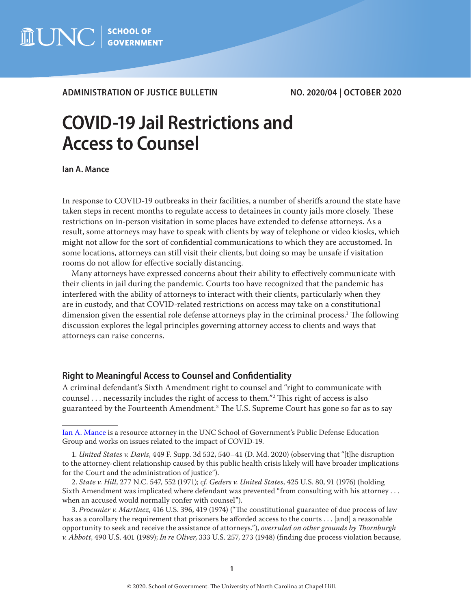

# **ADMINISTRATION OF JUSTICE BULLETIN NO. 2020/04 | OCTOBER 2020**

# **COVID-19 Jail Restrictions and Access to Counsel**

**Ian A. Mance**

In response to COVID-19 outbreaks in their facilities, a number of sheriffs around the state have taken steps in recent months to regulate access to detainees in county jails more closely. These restrictions on in-person visitation in some places have extended to defense attorneys. As a result, some attorneys may have to speak with clients by way of telephone or video kiosks, which might not allow for the sort of confidential communications to which they are accustomed. In some locations, attorneys can still visit their clients, but doing so may be unsafe if visitation rooms do not allow for effective socially distancing.

Many attorneys have expressed concerns about their ability to effectively communicate with their clients in jail during the pandemic. Courts too have recognized that the pandemic has interfered with the ability of attorneys to interact with their clients, particularly when they are in custody, and that COVID-related restrictions on access may take on a constitutional dimension given the essential role defense attorneys play in the criminal process.<sup>1</sup> The following discussion explores the legal principles governing attorney access to clients and ways that attorneys can raise concerns.

# **Right to Meaningful Access to Counsel and Confidentiality**

A criminal defendant's Sixth Amendment right to counsel and "right to communicate with counsel . . . necessarily includes the right of access to them."2 This right of access is also guaranteed by the Fourteenth Amendment.3 The U.S. Supreme Court has gone so far as to say

[Ian A. Mance](https://www.sog.unc.edu/about/faculty-and-staff/ian-mance) is a resource attorney in the UNC School of Government's Public Defense Education Group and works on issues related to the impact of COVID-19.

<sup>1</sup>*. United States v. Davis*, 449 F. Supp. 3d 532, 540–41 (D. Md. 2020) (observing that "[t]he disruption to the attorney-client relationship caused by this public health crisis likely will have broader implications for the Court and the administration of justice").

<sup>2.</sup> *State v. Hill*, 277 N.C. 547, 552 (1971); *cf. Geders v. United States*, 425 U.S. 80, 91 (1976) (holding Sixth Amendment was implicated where defendant was prevented "from consulting with his attorney . . . when an accused would normally confer with counsel").

<sup>3.</sup> *Procunier v. Martinez*, 416 U.S. 396, 419 (1974) ("The constitutional guarantee of due process of law has as a corollary the requirement that prisoners be afforded access to the courts . . . [and] a reasonable opportunity to seek and receive the assistance of attorneys."), *overruled on other grounds by Thornburgh v. Abbott*, 490 U.S. 401 (1989); *In re Oliver*, 333 U.S. 257, 273 (1948) (finding due process violation because,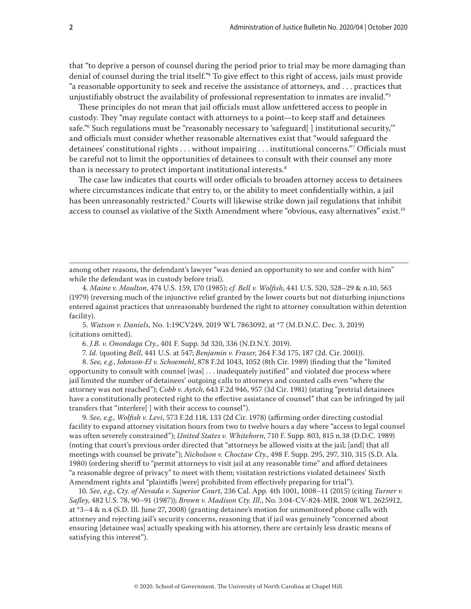that "to deprive a person of counsel during the period prior to trial may be more damaging than denial of counsel during the trial itself."4 To give effect to this right of access, jails must provide "a reasonable opportunity to seek and receive the assistance of attorneys, and . . . practices that unjustifiably obstruct the availability of professional representation to inmates are invalid."5

These principles do not mean that jail officials must allow unfettered access to people in custody. They "may regulate contact with attorneys to a point—to keep staff and detainees safe."6 Such regulations must be "reasonably necessary to 'safeguard[ ] institutional security,'" and officials must consider whether reasonable alternatives exist that "would safeguard the detainees' constitutional rights . . . without impairing . . . institutional concerns."7 Officials must be careful not to limit the opportunities of detainees to consult with their counsel any more than is necessary to protect important institutional interests.<sup>8</sup>

The case law indicates that courts will order officials to broaden attorney access to detainees where circumstances indicate that entry to, or the ability to meet confidentially within, a jail has been unreasonably restricted.9 Courts will likewise strike down jail regulations that inhibit access to counsel as violative of the Sixth Amendment where "obvious, easy alternatives" exist.<sup>10</sup>

5. *Watson v. Daniels*, No. 1:19CV249, 2019 WL 7863092, at \*7 (M.D.N.C. Dec. 3, 2019) (citations omitted).

6. *J.B. v. Onondaga Cty.*, 401 F. Supp. 3d 320, 336 (N.D.N.Y. 2019).

7. *Id.* (quoting *Bell*, 441 U.S. at 547; *Benjamin v. Fraser*, 264 F.3d 175, 187 (2d. Cir. 2001)).

8. *See, e.g.*, *Johnson-El v. Schoemehl*, 878 F.2d 1043, 1052 (8th Cir. 1989) (finding that the "limited opportunity to consult with counsel [was] . . . inadequately justified" and violated due process where jail limited the number of detainees' outgoing calls to attorneys and counted calls even "where the attorney was not reached"); *Cobb v. Aytch*, 643 F.2d 946, 957 (3d Cir. 1981) (stating "pretrial detainees have a constitutionally protected right to the effective assistance of counsel" that can be infringed by jail transfers that "interfere[ ] with their access to counsel").

9. *See, e.g.*, *Wolfish v. Levi*, 573 F.2d 118, 133 (2d Cir. 1978) (affirming order directing custodial facility to expand attorney visitation hours from two to twelve hours a day where "access to legal counsel was often severely constrained"); *United States v. Whitehorn*, 710 F. Supp. 803, 815 n.38 (D.D.C. 1989) (noting that court's previous order directed that "attorneys be allowed visits at the jail; [and] that all meetings with counsel be private"); *Nicholson v. Choctaw Cty.*, 498 F. Supp. 295, 297, 310, 315 (S.D. Ala. 1980) (ordering sheriff to "permit attorneys to visit jail at any reasonable time" and afford detainees "a reasonable degree of privacy" to meet with them; visitation restrictions violated detainees' Sixth Amendment rights and "plaintiffs [were] prohibited from effectively preparing for trial").

10. *See, e.g.*, *Cty. of Nevada v. Superior Court*, 236 Cal. App. 4th 1001, 1008–11 (2015) (citing *Turner v. Safley*, 482 U.S. 78, 90–91 (1987)); *Brown v. Madison Cty. Ill.*, No. 3:04-CV-824-MJR, 2008 WL 2625912, at \*3–4 & n.4 (S.D. Ill. June 27, 2008) (granting detainee's motion for unmonitored phone calls with attorney and rejecting jail's security concerns, reasoning that if jail was genuinely "concerned about ensuring [detainee was] actually speaking with his attorney, there are certainly less drastic means of satisfying this interest").

among other reasons, the defendant's lawyer "was denied an opportunity to see and confer with him" while the defendant was in custody before trial).

<sup>4.</sup> *Maine v. Moulton*, 474 U.S. 159, 170 (1985); *cf. Bell v. Wolfish*, 441 U.S. 520, 528–29 & n.10, 563 (1979) (reversing much of the injunctive relief granted by the lower courts but not disturbing injunctions entered against practices that unreasonably burdened the right to attorney consultation within detention facility).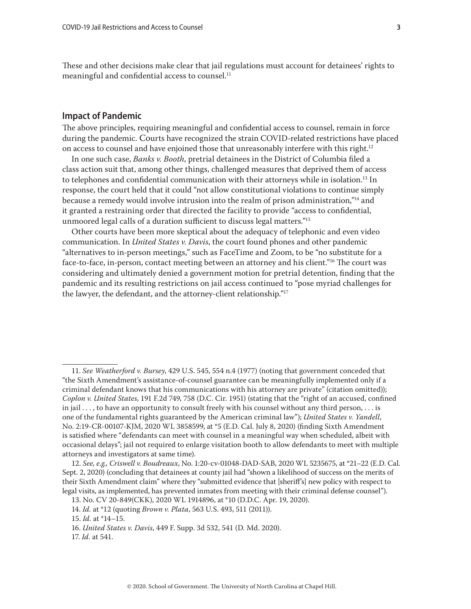These and other decisions make clear that jail regulations must account for detainees' rights to meaningful and confidential access to counsel.<sup>11</sup>

# **Impact of Pandemic**

The above principles, requiring meaningful and confidential access to counsel, remain in force during the pandemic. Courts have recognized the strain COVID-related restrictions have placed on access to counsel and have enjoined those that unreasonably interfere with this right.<sup>12</sup>

In one such case, *Banks v. Booth*, pretrial detainees in the District of Columbia filed a class action suit that, among other things, challenged measures that deprived them of access to telephones and confidential communication with their attorneys while in isolation.<sup>13</sup> In response, the court held that it could "not allow constitutional violations to continue simply because a remedy would involve intrusion into the realm of prison administration,"14 and it granted a restraining order that directed the facility to provide "access to confidential, unmoored legal calls of a duration sufficient to discuss legal matters."15

Other courts have been more skeptical about the adequacy of telephonic and even video communication. In *United States v. Davis*, the court found phones and other pandemic "alternatives to in-person meetings," such as FaceTime and Zoom, to be "no substitute for a face-to-face, in-person, contact meeting between an attorney and his client."16 The court was considering and ultimately denied a government motion for pretrial detention, finding that the pandemic and its resulting restrictions on jail access continued to "pose myriad challenges for the lawyer, the defendant, and the attorney-client relationship."17

<sup>11.</sup> *See Weatherford v. Bursey*, 429 U.S. 545, 554 n.4 (1977) (noting that government conceded that "the Sixth Amendment's assistance-of-counsel guarantee can be meaningfully implemented only if a criminal defendant knows that his communications with his attorney are private" (citation omitted)); *Coplon v. United States*, 191 F.2d 749, 758 (D.C. Cir. 1951) (stating that the "right of an accused, confined in jail . . . , to have an opportunity to consult freely with his counsel without any third person, . . . is one of the fundamental rights guaranteed by the American criminal law"); *United States v. Yandell*, No. 2:19-CR-00107-KJM, 2020 WL 3858599, at \*5 (E.D. Cal. July 8, 2020) (finding Sixth Amendment is satisfied where "defendants can meet with counsel in a meaningful way when scheduled, albeit with occasional delays"; jail not required to enlarge visitation booth to allow defendants to meet with multiple attorneys and investigators at same time).

<sup>12.</sup> *See, e.g., Criswell v. Boudreaux*, No. 1:20-cv-01048-DAD-SAB, 2020 WL 5235675, at \*21–22 (E.D. Cal. Sept. 2, 2020) (concluding that detainees at county jail had "shown a likelihood of success on the merits of their Sixth Amendment claim" where they "submitted evidence that [sheriff's] new policy with respect to legal visits, as implemented, has prevented inmates from meeting with their criminal defense counsel").

<sup>13.</sup> No. CV 20-849(CKK), 2020 WL 1914896, at \*10 (D.D.C. Apr. 19, 2020).

<sup>14.</sup> *Id.* at \*12 (quoting *Brown v. Plata*, 563 U.S. 493, 511 (2011)).

<sup>15.</sup> *Id.* at \*14–15.

<sup>16.</sup> *United States v. Davis*, 449 F. Supp. 3d 532, 541 (D. Md. 2020).

<sup>17.</sup> *Id.* at 541.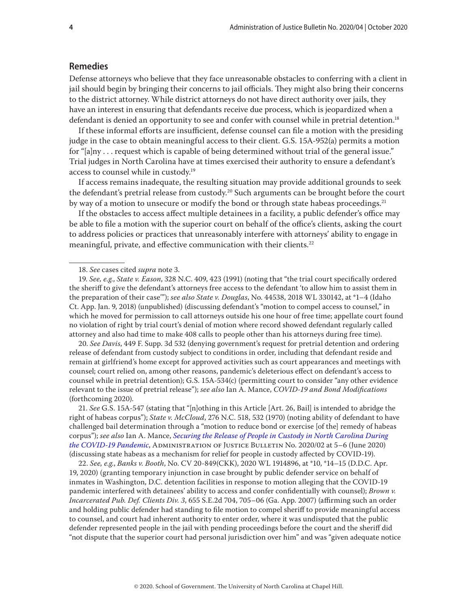### **Remedies**

Defense attorneys who believe that they face unreasonable obstacles to conferring with a client in jail should begin by bringing their concerns to jail officials. They might also bring their concerns to the district attorney. While district attorneys do not have direct authority over jails, they have an interest in ensuring that defendants receive due process, which is jeopardized when a defendant is denied an opportunity to see and confer with counsel while in pretrial detention.<sup>18</sup>

If these informal efforts are insufficient, defense counsel can file a motion with the presiding judge in the case to obtain meaningful access to their client. G.S. 15A-952(a) permits a motion for "[a]ny . . . request which is capable of being determined without trial of the general issue." Trial judges in North Carolina have at times exercised their authority to ensure a defendant's access to counsel while in custody.19

If access remains inadequate, the resulting situation may provide additional grounds to seek the defendant's pretrial release from custody.<sup>20</sup> Such arguments can be brought before the court by way of a motion to unsecure or modify the bond or through state habeas proceedings.<sup>21</sup>

If the obstacles to access affect multiple detainees in a facility, a public defender's office may be able to file a motion with the superior court on behalf of the office's clients, asking the court to address policies or practices that unreasonably interfere with attorneys' ability to engage in meaningful, private, and effective communication with their clients.<sup>22</sup>

20. *See Davis*, 449 F. Supp. 3d 532 (denying government's request for pretrial detention and ordering release of defendant from custody subject to conditions in order, including that defendant reside and remain at girlfriend's home except for approved activities such as court appearances and meetings with counsel; court relied on, among other reasons, pandemic's deleterious effect on defendant's access to counsel while in pretrial detention); G.S. 15A-534(c) (permitting court to consider "any other evidence relevant to the issue of pretrial release"); *see also* Ian A. Mance, *COVID-19 and Bond Modifications* (forthcoming 2020).

21. *See* G.S. 15A-547 (stating that "[n]othing in this Article [Art. 26, Bail] is intended to abridge the right of habeas corpus"); *State v. McCloud*, 276 N.C. 518, 532 (1970) (noting ability of defendant to have challenged bail determination through a "motion to reduce bond or exercise [of the] remedy of habeas corpus"); *see also* Ian A. Mance, *[Securing the Release of People in Custody in North Carolina During](https://www.sog.unc.edu/sites/www.sog.unc.edu/files/reports/2020-06-15a 20200241 AOJB 202-02.pdf)  [the COVID-19 Pandemic](https://www.sog.unc.edu/sites/www.sog.unc.edu/files/reports/2020-06-15a 20200241 AOJB 202-02.pdf)*, Administration of Justice Bulletin No. 2020/02 at 5–6 (June 2020) (discussing state habeas as a mechanism for relief for people in custody affected by COVID-19).

22. *See, e.g.*, *Banks v. Booth*, No. CV 20-849(CKK), 2020 WL 1914896, at \*10, \*14–15 (D.D.C. Apr. 19, 2020) (granting temporary injunction in case brought by public defender service on behalf of inmates in Washington, D.C. detention facilities in response to motion alleging that the COVID-19 pandemic interfered with detainees' ability to access and confer confidentially with counsel); *Brown v. Incarcerated Pub. Def. Clients Div. 3*, 655 S.E.2d 704, 705–06 (Ga. App. 2007) (affirming such an order and holding public defender had standing to file motion to compel sheriff to provide meaningful access to counsel, and court had inherent authority to enter order, where it was undisputed that the public defender represented people in the jail with pending proceedings before the court and the sheriff did "not dispute that the superior court had personal jurisdiction over him" and was "given adequate notice

<sup>18.</sup> *See* cases cited *supra* note 3.

<sup>19.</sup> *See, e.g.*, *State v. Eason*, 328 N.C. 409, 423 (1991) (noting that "the trial court specifically ordered the sheriff to give the defendant's attorneys free access to the defendant 'to allow him to assist them in the preparation of their case'"); *see also State v. Douglas*, No. 44538, 2018 WL 330142, at \*1–4 (Idaho Ct. App. Jan. 9, 2018) (unpublished) (discussing defendant's "motion to compel access to counsel," in which he moved for permission to call attorneys outside his one hour of free time; appellate court found no violation of right by trial court's denial of motion where record showed defendant regularly called attorney and also had time to make 408 calls to people other than his attorneys during free time).